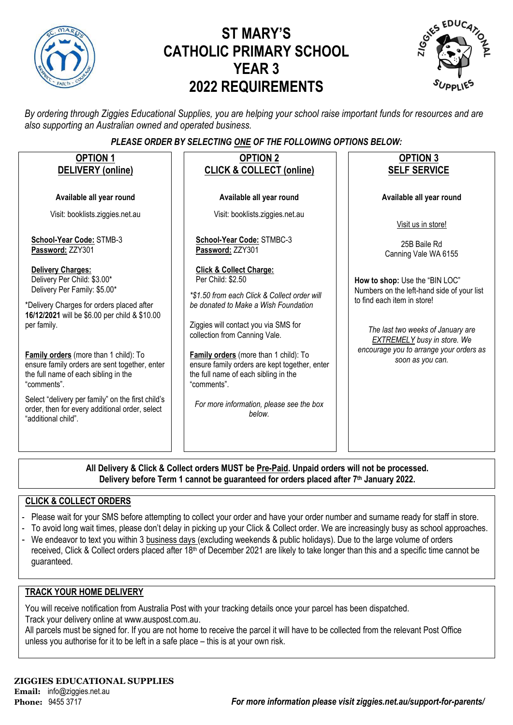

# **ST MARY'S CATHOLIC PRIMARY SCHOOL YEAR 3 2022 REQUIREMENTS**



*By ordering through Ziggies Educational Supplies, you are helping your school raise important funds for resources and are also supporting an Australian owned and operated business.*

#### *PLEASE ORDER BY SELECTING ONE OF THE FOLLOWING OPTIONS BELOW:*

| <b>OPTION 1</b><br>DELIVERY (online)                                                                                                                                                                 | <b>OPTION 2</b><br><b>CLICK &amp; COLLECT (online)</b>                                                                                                                                                                   |                                      | <b>OPTION 3</b><br><b>SELF SERVICE</b>                                                                                                                                                                                            |
|------------------------------------------------------------------------------------------------------------------------------------------------------------------------------------------------------|--------------------------------------------------------------------------------------------------------------------------------------------------------------------------------------------------------------------------|--------------------------------------|-----------------------------------------------------------------------------------------------------------------------------------------------------------------------------------------------------------------------------------|
| Available all year round                                                                                                                                                                             | Available all year round                                                                                                                                                                                                 |                                      | Available all year round                                                                                                                                                                                                          |
| Visit: booklists.ziggies.net.au                                                                                                                                                                      | Visit: booklists.ziggies.net.au                                                                                                                                                                                          |                                      | Visit us in store!                                                                                                                                                                                                                |
| School-Year Code: STMB-3<br>Password: ZZY301                                                                                                                                                         | School-Year Code: STMBC-3<br>Password: ZZY301                                                                                                                                                                            |                                      | 25B Baile Rd<br>Canning Vale WA 6155                                                                                                                                                                                              |
| <b>Delivery Charges:</b><br>Delivery Per Child: \$3.00*<br>Delivery Per Family: \$5.00*<br>*Delivery Charges for orders placed after<br>16/12/2021 will be \$6.00 per child & \$10.00<br>per family. | <b>Click &amp; Collect Charge:</b><br>Per Child: \$2.50<br>*\$1.50 from each Click & Collect order will<br>be donated to Make a Wish Foundation<br>Ziggies will contact you via SMS for<br>collection from Canning Vale. |                                      | How to shop: Use the "BIN LOC"<br>Numbers on the left-hand side of your list<br>to find each item in store!<br>The last two weeks of January are<br><b>EXTREMELY</b> busy in store. We<br>encourage you to arrange your orders as |
| Family orders (more than 1 child): To<br>ensure family orders are sent together, enter<br>the full name of each sibling in the<br>"comments".                                                        | Family orders (more than 1 child): To<br>ensure family orders are kept together, enter<br>the full name of each sibling in the<br>"comments".                                                                            |                                      | soon as you can.                                                                                                                                                                                                                  |
| Select "delivery per family" on the first child's<br>order, then for every additional order, select<br>"additional child".                                                                           | For more information, please see the box<br>below.                                                                                                                                                                       |                                      |                                                                                                                                                                                                                                   |
| $AD = 11$<br>0.011100011111                                                                                                                                                                          |                                                                                                                                                                                                                          | <b>MURTL D., D.U. U., J., J., J.</b> |                                                                                                                                                                                                                                   |

**All Delivery & Click & Collect orders MUST be Pre-Paid. Unpaid orders will not be processed. Delivery before Term 1 cannot be guaranteed for orders placed after 7th January 2022.**

#### **CLICK & COLLECT ORDERS**

- Please wait for your SMS before attempting to collect your order and have your order number and surname ready for staff in store.
- To avoid long wait times, please don't delay in picking up your Click & Collect order. We are increasingly busy as school approaches.
- We endeavor to text you within 3 business days (excluding weekends & public holidays). Due to the large volume of orders received, Click & Collect orders placed after 18<sup>th</sup> of December 2021 are likely to take longer than this and a specific time cannot be guaranteed.

#### **TRACK YOUR HOME DELIVERY**

You will receive notification from Australia Post with your tracking details once your parcel has been dispatched. Track your delivery online a[t www.auspost.com.au.](http://www.auspost.com.au/)

All parcels must be signed for. If you are not home to receive the parcel it will have to be collected from the relevant Post Office unless you authorise for it to be left in a safe place – this is at your own risk.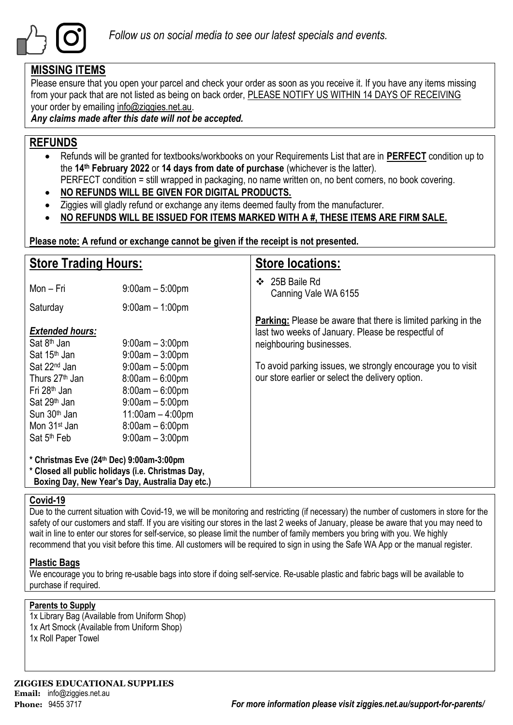

### **MISSING ITEMS**

Please ensure that you open your parcel and check your order as soon as you receive it. If you have any items missing from your pack that are not listed as being on back order, PLEASE NOTIFY US WITHIN 14 DAYS OF RECEIVING your order by emailing info@ziggies.net.au.

*Any claims made after this date will not be accepted.*

### **REFUNDS**

- Refunds will be granted for textbooks/workbooks on your Requirements List that are in **PERFECT** condition up to the **14th February 2022** or **14 days from date of purchase** (whichever is the latter). PERFECT condition = still wrapped in packaging, no name written on, no bent corners, no book covering.
- **NO REFUNDS WILL BE GIVEN FOR DIGITAL PRODUCTS.**
- Ziggies will gladly refund or exchange any items deemed faulty from the manufacturer.
- **NO REFUNDS WILL BE ISSUED FOR ITEMS MARKED WITH A #, THESE ITEMS ARE FIRM SALE.**

**Please note: A refund or exchange cannot be given if the receipt is not presented.**

| <b>Store Trading Hours:</b>                                                                                                                                           |                                                                                                                                | <b>Store locations:</b>                                                                                                                                                                                               |  |  |  |
|-----------------------------------------------------------------------------------------------------------------------------------------------------------------------|--------------------------------------------------------------------------------------------------------------------------------|-----------------------------------------------------------------------------------------------------------------------------------------------------------------------------------------------------------------------|--|--|--|
| Mon – Fri                                                                                                                                                             | $9:00am - 5:00pm$                                                                                                              | 25B Baile Rd<br>$\mathbf{A}$<br>Canning Vale WA 6155                                                                                                                                                                  |  |  |  |
| Saturday                                                                                                                                                              | $9:00$ am $-1:00$ pm                                                                                                           |                                                                                                                                                                                                                       |  |  |  |
| <b>Extended hours:</b><br>Sat 8 <sup>th</sup> Jan<br>Sat 15 <sup>th</sup> Jan<br>Sat 22 <sup>nd</sup> Jan                                                             | $9:00$ am $-3:00$ pm<br>$9:00am - 3:00pm$<br>$9:00am - 5:00pm$                                                                 | <b>Parking:</b> Please be aware that there is limited parking in the<br>last two weeks of January. Please be respectful of<br>neighbouring businesses.<br>To avoid parking issues, we strongly encourage you to visit |  |  |  |
| Thurs 27 <sup>th</sup> Jan<br>Fri 28 <sup>th</sup> Jan<br>Sat 29 <sup>th</sup> Jan<br>Sun 30 <sup>th</sup> Jan<br>Mon 31 <sup>st</sup> Jan<br>Sat 5 <sup>th</sup> Feb | $8:00am - 6:00pm$<br>$8:00am - 6:00pm$<br>$9:00am - 5:00pm$<br>$11:00am - 4:00pm$<br>$8:00am - 6:00pm$<br>$9:00$ am $-3:00$ pm | our store earlier or select the delivery option.                                                                                                                                                                      |  |  |  |
| * Christmas Eve (24th Dec) 9:00am-3:00pm<br>* Closed all public holidays (i.e. Christmas Day,                                                                         | Boxing Day, New Year's Day, Australia Day etc.)                                                                                |                                                                                                                                                                                                                       |  |  |  |

#### **Covid-19**

Due to the current situation with Covid-19, we will be monitoring and restricting (if necessary) the number of customers in store for the safety of our customers and staff. If you are visiting our stores in the last 2 weeks of January, please be aware that you may need to wait in line to enter our stores for self-service, so please limit the number of family members you bring with you. We highly recommend that you visit before this time. All customers will be required to sign in using the Safe WA App or the manual register.

### **Plastic Bags**

We encourage you to bring re-usable bags into store if doing self-service. Re-usable plastic and fabric bags will be available to purchase if required.

#### **Parents to Supply**

1x Library Bag (Available from Uniform Shop) 1x Art Smock (Available from Uniform Shop) 1x Roll Paper Towel